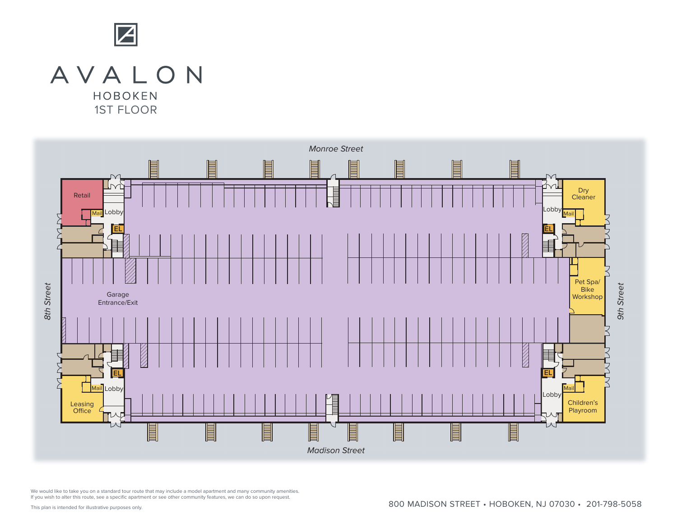

## AVALON **HOBOKEN** 1ST FLOOR



We would like to take you on a standard tour route that may include a model apartment and many community amenities. If you wish to alter this route, see a specific apartment or see other community features, we can do so upon request.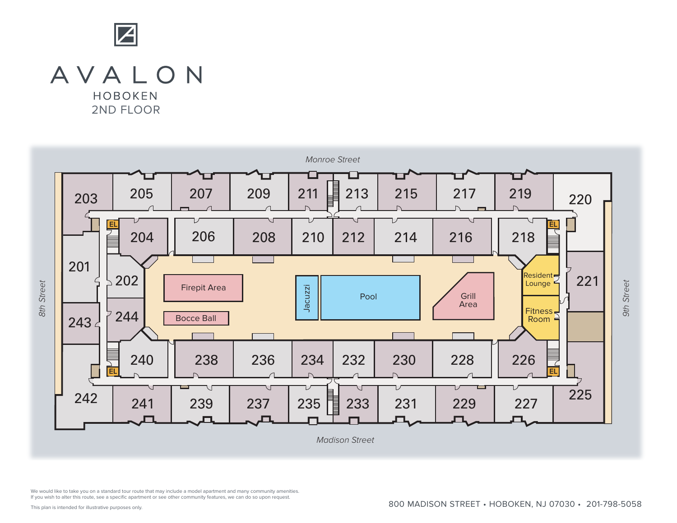

## AVALON **HOBOKEN** 2ND FLOOR

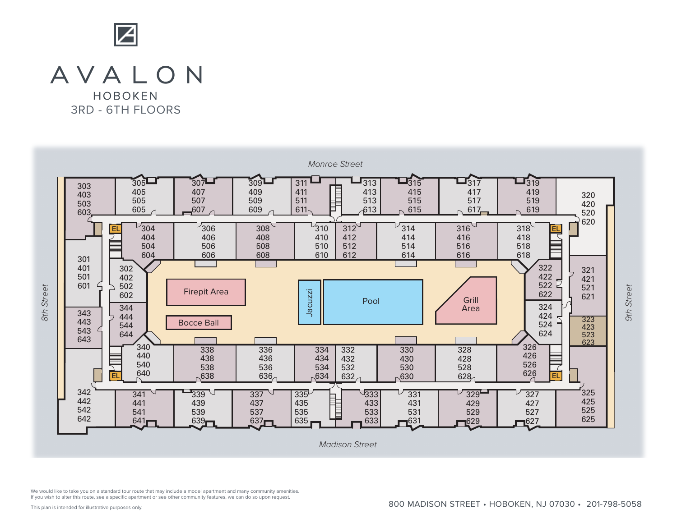

## AVALON

HOBOKEN 3RD - 6TH FLOORS



We would like to take you on a standard tour route that may include a model apartment and many community amenities. If you wish to alter this route, see a specific apartment or see other community features, we can do so upon request.